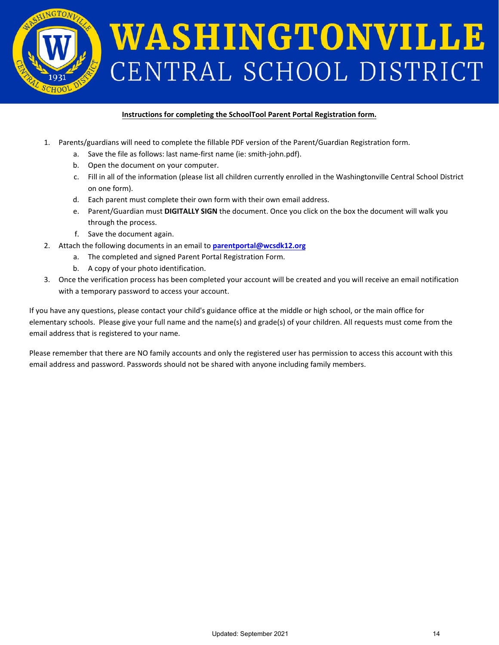

## **Instructions for completing the SchoolTool Parent Portal Registration form.**

- 1. Parents/guardians will need to complete the fillable PDF version of the Parent/Guardian Registration form.
	- a. Save the file as follows: last name-first name (ie: smith-john.pdf).
	- b. Open the document on your computer.
	- c. Fill in all of the information (please list all children currently enrolled in the Washingtonville Central School District on one form).
	- d. Each parent must complete their own form with their own email address.
	- e. Parent/Guardian must **DIGITALLY SIGN** the document. Once you click on the box the document will walk you through the process.
	- f. Save the document again.
- 2. Attach the following documents in an email to **[parentportal@wcsdk12.org](mailto:parentportal@wcsdk12.org)**
	- a. The completed and signed Parent Portal Registration Form.
	- b. A copy of your photo identification.
- 3. Once the verification process has been completed your account will be created and you will receive an email notification with a temporary password to access your account.

If you have any questions, please contact your child's guidance office at the middle or high school, or the main office for elementary schools. Please give your full name and the name(s) and grade(s) of your children. All requests must come from the email address that is registered to your name.

Please remember that there are NO family accounts and only the registered user has permission to access this account with this email address and password. Passwords should not be shared with anyone including family members.